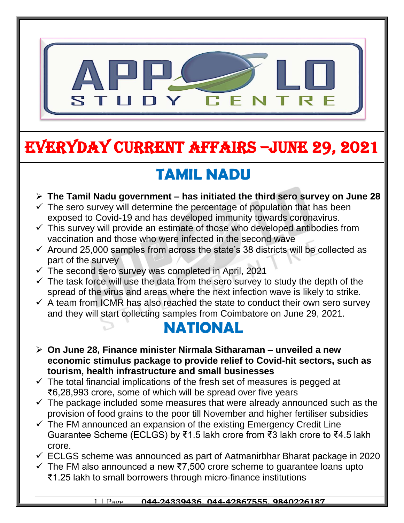

# EVERYDAY CURRENT AFFAIRS –jUNE 29, 2021

# **TAMIL NADU**

- **The Tamil Nadu government – has initiated the third sero survey on June 28**
- $\checkmark$  The sero survey will determine the percentage of population that has been exposed to Covid-19 and has developed immunity towards coronavirus.
- $\checkmark$  This survey will provide an estimate of those who developed antibodies from vaccination and those who were infected in the second wave
- $\checkmark$  Around 25,000 samples from across the state's 38 districts will be collected as part of the survey
- $\checkmark$  The second sero survey was completed in April, 2021

-

- $\checkmark$  The task force will use the data from the sero survey to study the depth of the spread of the virus and areas where the next infection wave is likely to strike.
- $\checkmark$  A team from ICMR has also reached the state to conduct their own sero survey and they will start collecting samples from Coimbatore on June 29, 2021.

#### **NATIONAL**

- **On June 28, Finance minister Nirmala Sitharaman – unveiled a new economic stimulus package to provide relief to Covid-hit sectors, such as tourism, health infrastructure and small businesses**
- $\checkmark$  The total financial implications of the fresh set of measures is pegged at ₹6,28,993 crore, some of which will be spread over five years
- $\checkmark$  The package included some measures that were already announced such as the provision of food grains to the poor till November and higher fertiliser subsidies
- $\checkmark$  The FM announced an expansion of the existing Emergency Credit Line Guarantee Scheme (ECLGS) by ₹1.5 lakh crore from ₹3 lakh crore to ₹4.5 lakh crore.
- $\checkmark$  ECLGS scheme was announced as part of Aatmanirbhar Bharat package in 2020
- $\checkmark$  The FM also announced a new ₹7,500 crore scheme to guarantee loans upto ₹1.25 lakh to small borrowers through micro-finance institutions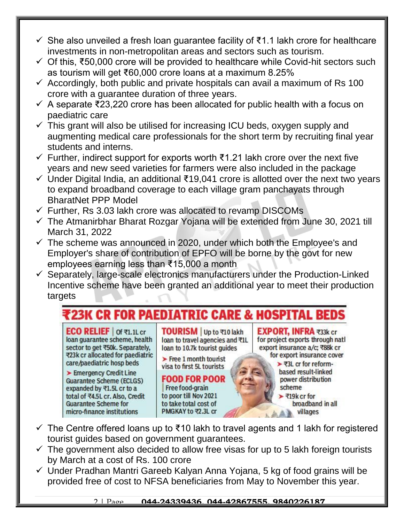- $\checkmark$  She also unveiled a fresh loan guarantee facility of ₹1.1 lakh crore for healthcare investments in non-metropolitan areas and sectors such as tourism.
- Of this, ₹50,000 crore will be provided to healthcare while Covid-hit sectors such as tourism will get ₹60,000 crore loans at a maximum 8.25%
- $\checkmark$  Accordingly, both public and private hospitals can avail a maximum of Rs 100 crore with a guarantee duration of three years.
- $\checkmark$  A separate ₹23,220 crore has been allocated for public health with a focus on paediatric care
- $\checkmark$  This grant will also be utilised for increasing ICU beds, oxygen supply and augmenting medical care professionals for the short term by recruiting final year students and interns.
- Further, indirect support for exports worth ₹1.21 lakh crore over the next five years and new seed varieties for farmers were also included in the package
- $\checkmark$  Under Digital India, an additional ₹19,041 crore is allotted over the next two years to expand broadband coverage to each village gram panchayats through BharatNet PPP Model
- $\checkmark$  Further, Rs 3.03 lakh crore was allocated to revamp DISCOMs
- $\checkmark$  The Atmanirbhar Bharat Rozgar Yojana will be extended from June 30, 2021 till March 31, 2022
- $\checkmark$  The scheme was announced in 2020, under which both the Employee's and Employer's share of contribution of EPFO will be borne by the govt for new employees earning less than ₹15,000 a month
- $\checkmark$  Separately, large-scale electronics manufacturers under the Production-Linked Incentive scheme have been granted an additional year to meet their production targets

#### **23K CR FOR PAEDIATRIC CARE & HOSPITAL BEDS**

**ECO RELIEF** | of ₹1.1L cr loan guarantee scheme, health sector to get ₹50k. Separately, ₹23k cr allocated for paediatric care/paediatric hosp beds

Emergency Credit Line **Guarantee Scheme (ECLGS)** expanded by ₹1.5L cr to a total of ₹4.5L cr. Also, Credit **Guarantee Scheme for** micro-finance institutions

TOURISM Up to ₹10 lakh loan to travel agencies and ₹1L loan to 10.7k tourist guides

 $\blacktriangleright$  Free 1 month tourist visa to first 5L tourists

**FOOD FOR POOR** Free food-grain to poor till Nov 2021 to take total cost of PMGKAY to ₹2.3L cr

**EXPORT, INFRA ₹33k cr** for project exports through natl export insurance a/c: ₹88k cr for export insurance cover

> ▶ ₹3L cr for reformbased result-linked power distribution scheme ₹19 $k$  cr for

broadband in all villages

- $\checkmark$  The Centre offered loans up to ₹10 lakh to travel agents and 1 lakh for registered tourist guides based on government guarantees.
- $\checkmark$  The government also decided to allow free visas for up to 5 lakh foreign tourists by March at a cost of Rs. 100 crore
- $\checkmark$  Under Pradhan Mantri Gareeb Kalyan Anna Yojana, 5 kg of food grains will be provided free of cost to NFSA beneficiaries from May to November this year.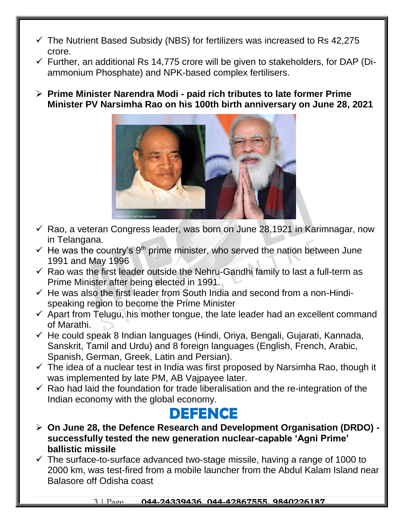- $\checkmark$  The Nutrient Based Subsidy (NBS) for fertilizers was increased to Rs 42,275 crore.
- $\checkmark$  Further, an additional Rs 14,775 crore will be given to stakeholders, for DAP (Diammonium Phosphate) and NPK-based complex fertilisers.
- **Prime Minister Narendra Modi - paid rich tributes to late former Prime Minister PV Narsimha Rao on his 100th birth anniversary on June 28, 2021**



- $\checkmark$  Rao, a veteran Congress leader, was born on June 28,1921 in Karimnagar, now in Telangana.
- $\checkmark$  He was the country's 9<sup>th</sup> prime minister, who served the nation between June 1991 and May 1996
- $\checkmark$  Rao was the first leader outside the Nehru-Gandhi family to last a full-term as Prime Minister after being elected in 1991.
- $\checkmark$  He was also the first leader from South India and second from a non-Hindispeaking region to become the Prime Minister
- $\checkmark$  Apart from Telugu, his mother tongue, the late leader had an excellent command of Marathi.
- $\checkmark$  He could speak 8 Indian languages (Hindi, Oriya, Bengali, Gujarati, Kannada, Sanskrit, Tamil and Urdu) and 8 foreign languages (English, French, Arabic, Spanish, German, Greek, Latin and Persian).
- $\checkmark$  The idea of a nuclear test in India was first proposed by Narsimha Rao, though it was implemented by late PM, AB Vajpayee later.
- $\checkmark$  Rao had laid the foundation for trade liberalisation and the re-integration of the Indian economy with the global economy.

#### **DEFENCE**

- **On June 28, the Defence Research and Development Organisation (DRDO) successfully tested the new generation nuclear-capable 'Agni Prime' ballistic missile**
- $\checkmark$  The surface-to-surface advanced two-stage missile, having a range of 1000 to 2000 km, was test-fired from a mobile launcher from the Abdul Kalam Island near Balasore off Odisha coast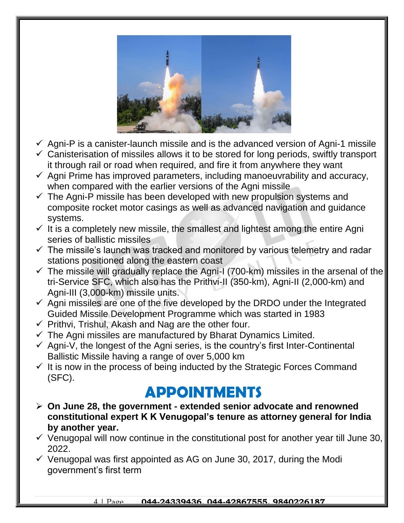

- $\checkmark$  Agni-P is a canister-launch missile and is the advanced version of Agni-1 missile
- $\checkmark$  Canisterisation of missiles allows it to be stored for long periods, swiftly transport it through rail or road when required, and fire it from anywhere they want
- $\checkmark$  Agni Prime has improved parameters, including manoeuvrability and accuracy, when compared with the earlier versions of the Agni missile
- $\checkmark$  The Agni-P missile has been developed with new propulsion systems and composite rocket motor casings as well as advanced navigation and guidance systems.
- $\checkmark$  It is a completely new missile, the smallest and lightest among the entire Agni series of ballistic missiles
- $\checkmark$  The missile's launch was tracked and monitored by various telemetry and radar stations positioned along the eastern coast
- $\checkmark$  The missile will gradually replace the Agni-I (700-km) missiles in the arsenal of the tri-Service SFC, which also has the Prithvi-II (350-km), Agni-II (2,000-km) and Agni-III (3,000-km) missile units.
- $\checkmark$  Agni missiles are one of the five developed by the DRDO under the Integrated Guided Missile Development Programme which was started in 1983
- $\checkmark$  Prithvi, Trishul, Akash and Nag are the other four.
- $\checkmark$  The Agni missiles are manufactured by Bharat Dynamics Limited.
- $\checkmark$  Agni-V, the longest of the Agni series, is the country's first Inter-Continental Ballistic Missile having a range of over 5,000 km
- $\checkmark$  It is now in the process of being inducted by the Strategic Forces Command (SFC).

### **APPOINTMENTS**

- **On June 28, the government - extended senior advocate and renowned constitutional expert K K Venugopal's tenure as attorney general for India by another year.**
- $\checkmark$  Venugopal will now continue in the constitutional post for another year till June 30, 2022.
- $\checkmark$  Venugopal was first appointed as AG on June 30, 2017, during the Modi government's first term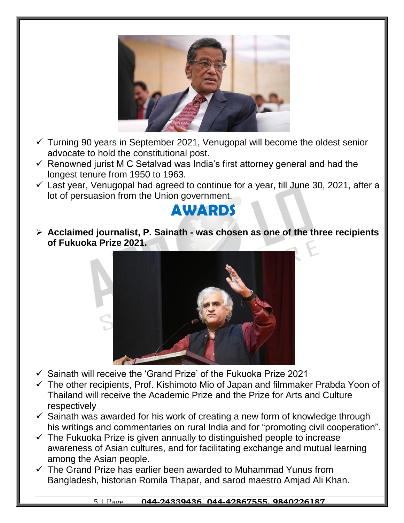

- $\checkmark$  Turning 90 years in September 2021, Venugopal will become the oldest senior advocate to hold the constitutional post.
- $\checkmark$  Renowned jurist M C Setalvad was India's first attorney general and had the longest tenure from 1950 to 1963.
- $\checkmark$  Last year, Venugopal had agreed to continue for a year, till June 30, 2021, after a lot of persuasion from the Union government.



 **Acclaimed journalist, P. Sainath - was chosen as one of the three recipients of Fukuoka Prize 2021.**



- $\checkmark$  Sainath will receive the 'Grand Prize' of the Fukuoka Prize 2021
- $\checkmark$  The other recipients, Prof. Kishimoto Mio of Japan and filmmaker Prabda Yoon of Thailand will receive the Academic Prize and the Prize for Arts and Culture respectively
- $\checkmark$  Sainath was awarded for his work of creating a new form of knowledge through his writings and commentaries on rural India and for "promoting civil cooperation".
- $\checkmark$  The Fukuoka Prize is given annually to distinguished people to increase awareness of Asian cultures, and for facilitating exchange and mutual learning among the Asian people.
- $\checkmark$  The Grand Prize has earlier been awarded to Muhammad Yunus from Bangladesh, historian Romila Thapar, and sarod maestro Amjad Ali Khan.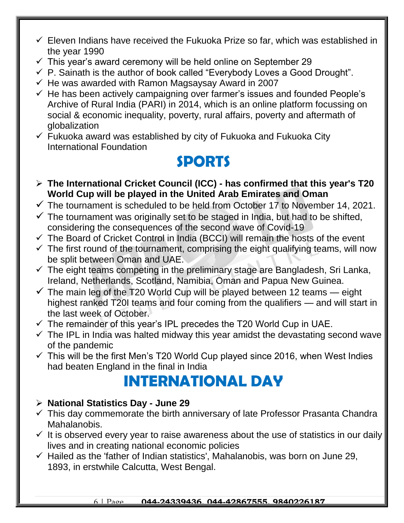- $\checkmark$  Eleven Indians have received the Fukuoka Prize so far, which was established in the year 1990
- $\checkmark$  This year's award ceremony will be held online on September 29
- $\checkmark$  P. Sainath is the author of book called "Everybody Loves a Good Drought".
- $\checkmark$  He was awarded with Ramon Magsaysay Award in 2007
- $\checkmark$  He has been actively campaigning over farmer's issues and founded People's Archive of Rural India (PARI) in 2014, which is an online platform focussing on social & economic inequality, poverty, rural affairs, poverty and aftermath of globalization
- $\checkmark$  Fukuoka award was established by city of Fukuoka and Fukuoka City International Foundation

### **SPORTS**

- **The International Cricket Council (ICC) - has confirmed that this year's T20 World Cup will be played in the United Arab Emirates and Oman**
- $\checkmark$  The tournament is scheduled to be held from October 17 to November 14, 2021.
- $\checkmark$  The tournament was originally set to be staged in India, but had to be shifted, considering the consequences of the second wave of Covid-19
- $\checkmark$  The Board of Cricket Control in India (BCCI) will remain the hosts of the event
- $\checkmark$  The first round of the tournament, comprising the eight qualifying teams, will now be split between Oman and UAE.
- $\checkmark$  The eight teams competing in the preliminary stage are Bangladesh, Sri Lanka, Ireland, Netherlands, Scotland, Namibia, Oman and Papua New Guinea.
- $\checkmark$  The main leg of the T20 World Cup will be played between 12 teams eight highest ranked T20I teams and four coming from the qualifiers — and will start in the last week of October.
- $\checkmark$  The remainder of this year's IPL precedes the T20 World Cup in UAE.
- $\checkmark$  The IPL in India was halted midway this year amidst the devastating second wave of the pandemic
- $\checkmark$  This will be the first Men's T20 World Cup played since 2016, when West Indies had beaten England in the final in India

## **INTERNATIONAL DAY**

#### **National Statistics Day - June 29**

- $\checkmark$  This day commemorate the birth anniversary of late Professor Prasanta Chandra Mahalanobis.
- $\checkmark$  It is observed every year to raise awareness about the use of statistics in our daily lives and in creating national economic policies
- $\checkmark$  Hailed as the 'father of Indian statistics', Mahalanobis, was born on June 29, 1893, in erstwhile Calcutta, West Bengal.